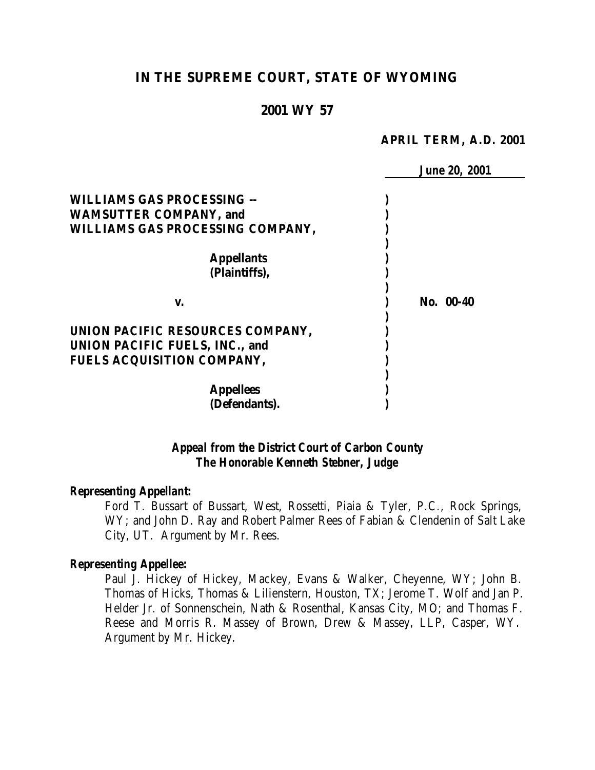# **IN THE SUPREME COURT, STATE OF WYOMING**

### **2001 WY 57**

#### **APRIL TERM, A.D. 2001**

|                                       | <b>June 20, 2001</b> |
|---------------------------------------|----------------------|
| <b>WILLIAMS GAS PROCESSING --</b>     |                      |
| <b>WAMSUTTER COMPANY, and</b>         |                      |
| WILLIAMS GAS PROCESSING COMPANY,      |                      |
|                                       |                      |
| <b>Appellants</b>                     |                      |
| (Plaintiffs),                         |                      |
|                                       |                      |
| V.                                    | No. 00-40            |
|                                       |                      |
| UNION PACIFIC RESOURCES COMPANY,      |                      |
| <b>UNION PACIFIC FUELS, INC., and</b> |                      |
| FUELS ACQUISITION COMPANY,            |                      |
|                                       |                      |
| <b>Appellees</b>                      |                      |
| (Defendants).                         |                      |

### *Appeal from the District Court of Carbon County The Honorable Kenneth Stebner, Judge*

#### *Representing Appellant:*

Ford T. Bussart of Bussart, West, Rossetti, Piaia & Tyler, P.C., Rock Springs, WY; and John D. Ray and Robert Palmer Rees of Fabian & Clendenin of Salt Lake City, UT. Argument by Mr. Rees.

#### *Representing Appellee:*

Paul J. Hickey of Hickey, Mackey, Evans & Walker, Cheyenne, WY; John B. Thomas of Hicks, Thomas & Lilienstern, Houston, TX; Jerome T. Wolf and Jan P. Helder Jr. of Sonnenschein, Nath & Rosenthal, Kansas City, MO; and Thomas F. Reese and Morris R. Massey of Brown, Drew & Massey, LLP, Casper, WY. Argument by Mr. Hickey.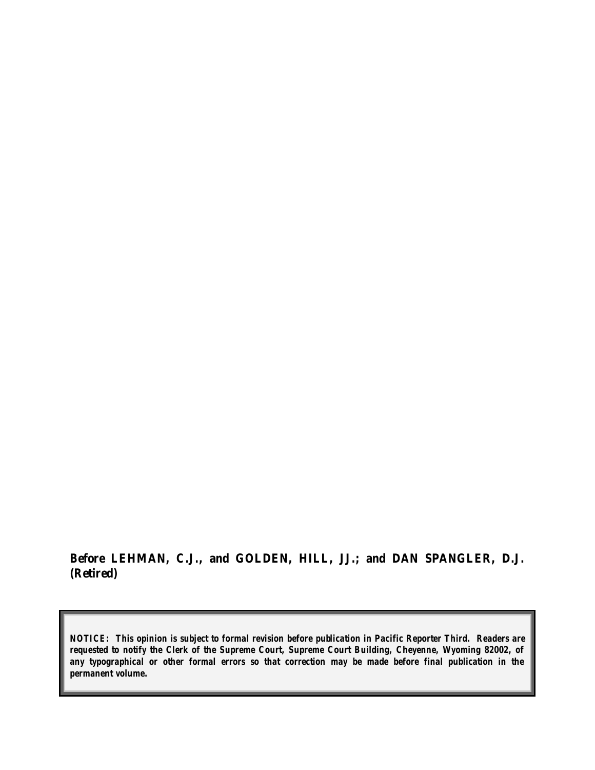**Before LEHMAN, C.J., and GOLDEN, HILL, JJ.; and DAN SPANGLER, D.J. (Retired)**

*NOTICE: This opinion is subject to formal revision before publication in Pacific Reporter Third. Readers are requested to notify the Clerk of the Supreme Court, Supreme Court Building, Cheyenne, Wyoming 82002, of any typographical or other formal errors so that correction may be made before final publication in the permanent volume.*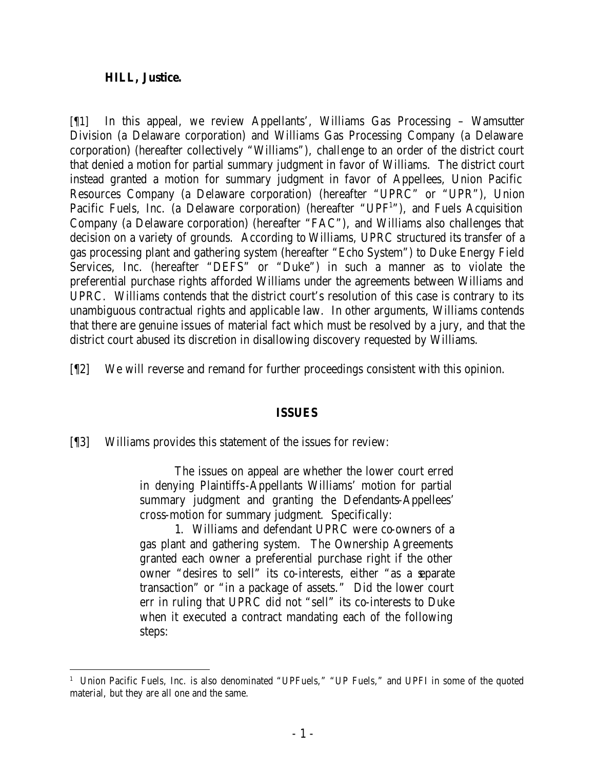#### **HILL, Justice.**

[¶1] In this appeal, we review Appellants', Williams Gas Processing – Wamsutter Division (a Delaware corporation) and Williams Gas Processing Company (a Delaware corporation) (hereafter collectively "Williams"), challenge to an order of the district court that denied a motion for partial summary judgment in favor of Williams. The district court instead granted a motion for summary judgment in favor of Appellees, Union Pacific Resources Company (a Delaware corporation) (hereafter "UPRC" or "UPR"), Union Pacific Fuels, Inc. (a Delaware corporation) (hereafter "UPF<sup>1</sup>"), and Fuels Acquisition Company (a Delaware corporation) (hereafter "FAC"), and Williams also challenges that decision on a variety of grounds. According to Williams, UPRC structured its transfer of a gas processing plant and gathering system (hereafter "Echo System") to Duke Energy Field Services, Inc. (hereafter "DEFS" or "Duke") in such a manner as to violate the preferential purchase rights afforded Williams under the agreements between Williams and UPRC. Williams contends that the district court's resolution of this case is contrary to its unambiguous contractual rights and applicable law. In other arguments, Williams contends that there are genuine issues of material fact which must be resolved by a jury, and that the district court abused its discretion in disallowing discovery requested by Williams.

[¶2] We will reverse and remand for further proceedings consistent with this opinion.

### **ISSUES**

### [¶3] Williams provides this statement of the issues for review:

The issues on appeal are whether the lower court erred in denying Plaintiffs-Appellants Williams' motion for partial summary judgment and granting the Defendants-Appellees' cross-motion for summary judgment. Specifically:

1. Williams and defendant UPRC were co-owners of a gas plant and gathering system. The Ownership Agreements granted each owner a preferential purchase right if the other owner "desires to sell" its co-interests, either "as a separate transaction" or "in a package of assets." Did the lower court err in ruling that UPRC did not "sell" its co-interests to Duke when it executed a contract mandating each of the following steps:

<sup>&</sup>lt;sup>1</sup> Union Pacific Fuels, Inc. is also denominated "UPFuels," "UP Fuels," and UPFI in some of the quoted material, but they are all one and the same.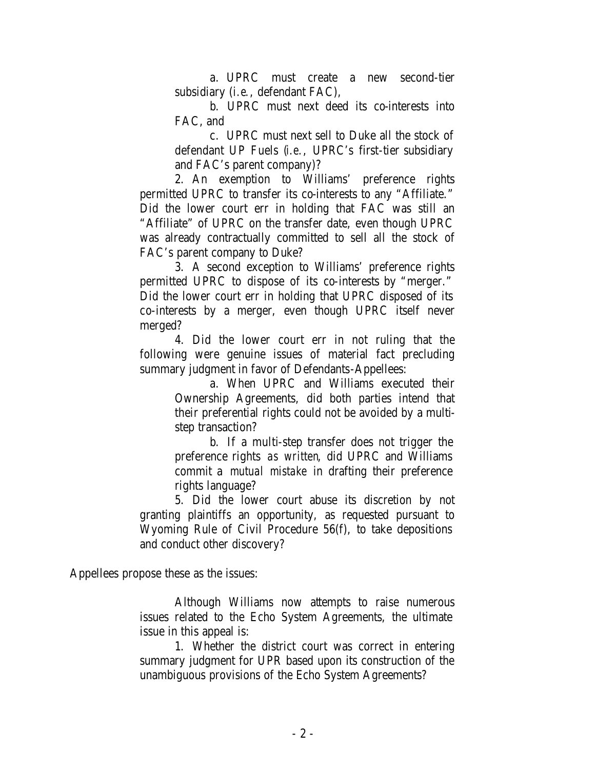a. UPRC must create a new second-tier subsidiary (*i.e.*, defendant FAC),

b. UPRC must next deed its co-interests into FAC, and

c. UPRC must next sell to Duke all the stock of defendant UP Fuels (*i.e.*, UPRC's first-tier subsidiary and FAC's parent company)?

2. An exemption to Williams' preference rights permitted UPRC to transfer its co-interests to any "Affiliate." Did the lower court err in holding that FAC was still an "Affiliate" of UPRC on the transfer date, even though UPRC was already contractually committed to sell all the stock of FAC's parent company to Duke?

3. A second exception to Williams' preference rights permitted UPRC to dispose of its co-interests by "merger." Did the lower court err in holding that UPRC disposed of its co-interests by a merger, even though UPRC itself never merged?

4. Did the lower court err in not ruling that the following were genuine issues of material fact precluding summary judgment in favor of Defendants-Appellees:

> a. When UPRC and Williams executed their Ownership Agreements, did both parties intend that their preferential rights could not be avoided by a multistep transaction?

b. If a multi-step transfer does not trigger the preference rights *as written*, did UPRC and Williams commit a *mutual mistake* in drafting their preference rights language?

5. Did the lower court abuse its discretion by not granting plaintiffs an opportunity, as requested pursuant to Wyoming Rule of Civil Procedure 56(f), to take depositions and conduct other discovery?

Appellees propose these as the issues:

Although Williams now attempts to raise numerous issues related to the Echo System Agreements, the ultimate issue in this appeal is:

1. Whether the district court was correct in entering summary judgment for UPR based upon its construction of the unambiguous provisions of the Echo System Agreements?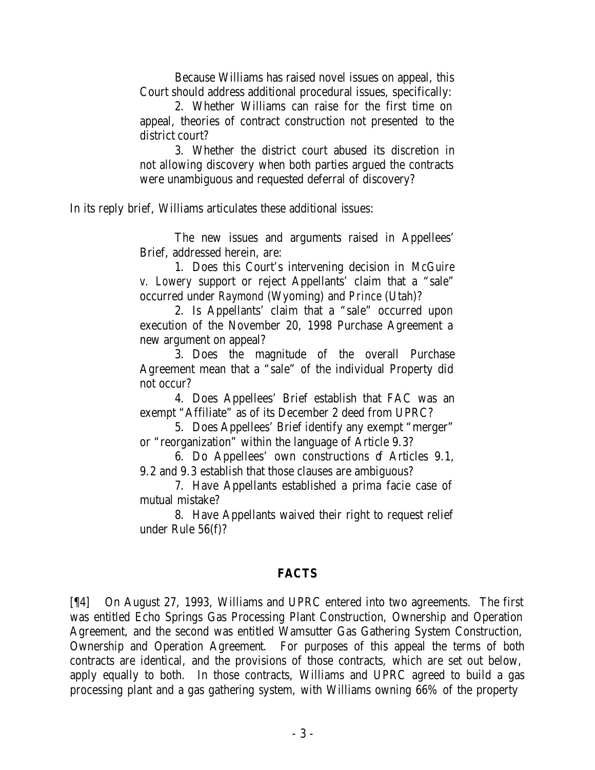Because Williams has raised novel issues on appeal, this Court should address additional procedural issues, specifically:

2. Whether Williams can raise for the first time on appeal, theories of contract construction not presented to the district court?

3. Whether the district court abused its discretion in not allowing discovery when both parties argued the contracts were unambiguous and requested deferral of discovery?

In its reply brief, Williams articulates these additional issues:

The new issues and arguments raised in Appellees' Brief, addressed herein, are:

1. Does this Court's intervening decision in *McGuire v. Lowery* support or reject Appellants' claim that a "sale" occurred under *Raymond* (Wyoming) and *Prince* (Utah)?

2. Is Appellants' claim that a "sale" occurred upon execution of the November 20, 1998 Purchase Agreement a new argument on appeal?

3. Does the magnitude of the overall Purchase Agreement mean that a "sale" of the individual Property did not occur?

4. Does Appellees' Brief establish that FAC was an exempt "Affiliate" as of its December 2 deed from UPRC?

5. Does Appellees' Brief identify any exempt "merger" or "reorganization" within the language of Article 9.3?

6. Do Appellees' own constructions of Articles 9.1, 9.2 and 9.3 establish that those clauses are ambiguous?

7. Have Appellants established a prima facie case of mutual mistake?

8. Have Appellants waived their right to request relief under Rule 56(f)?

### **FACTS**

[¶4] On August 27, 1993, Williams and UPRC entered into two agreements. The first was entitled Echo Springs Gas Processing Plant Construction, Ownership and Operation Agreement, and the second was entitled Wamsutter Gas Gathering System Construction, Ownership and Operation Agreement. For purposes of this appeal the terms of both contracts are identical, and the provisions of those contracts, which are set out below, apply equally to both. In those contracts, Williams and UPRC agreed to build a gas processing plant and a gas gathering system, with Williams owning 66% of the property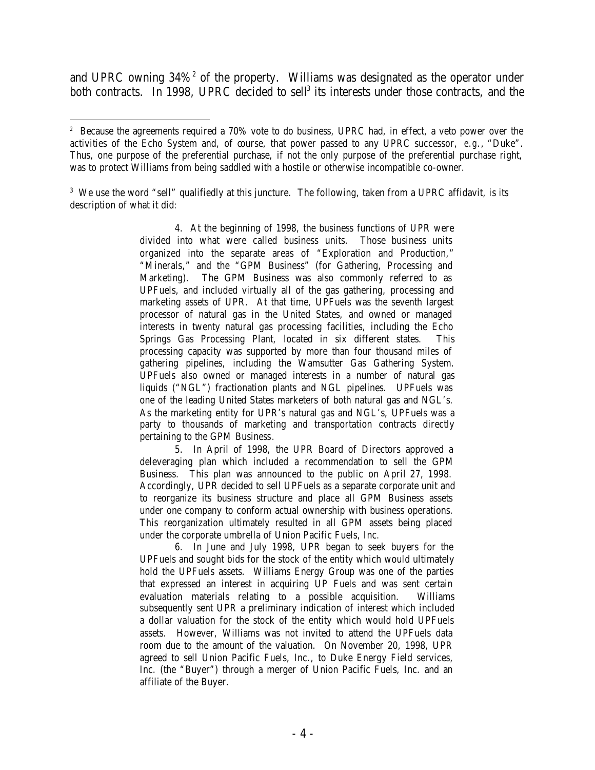and UPRC owning  $34\%$ <sup>2</sup> of the property. Williams was designated as the operator under both contracts. In 1998, UPRC decided to sell<sup>3</sup> its interests under those contracts, and the

<sup>3</sup> We use the word "sell" qualifiedly at this juncture. The following, taken from a UPRC affidavit, is its description of what it did:

> 4. At the beginning of 1998, the business functions of UPR were divided into what were called business units. Those business units organized into the separate areas of "Exploration and Production," "Minerals," and the "GPM Business" (for Gathering, Processing and Marketing). The GPM Business was also commonly referred to as UPFuels, and included virtually all of the gas gathering, processing and marketing assets of UPR. At that time, UPFuels was the seventh largest processor of natural gas in the United States, and owned or managed interests in twenty natural gas processing facilities, including the Echo Springs Gas Processing Plant, located in six different states. This processing capacity was supported by more than four thousand miles of gathering pipelines, including the Wamsutter Gas Gathering System. UPFuels also owned or managed interests in a number of natural gas liquids ("NGL") fractionation plants and NGL pipelines. UPFuels was one of the leading United States marketers of both natural gas and NGL's. As the marketing entity for UPR's natural gas and NGL's, UPFuels was a party to thousands of marketing and transportation contracts directly pertaining to the GPM Business.

> 5. In April of 1998, the UPR Board of Directors approved a deleveraging plan which included a recommendation to sell the GPM Business. This plan was announced to the public on April 27, 1998. Accordingly, UPR decided to sell UPFuels as a separate corporate unit and to reorganize its business structure and place all GPM Business assets under one company to conform actual ownership with business operations. This reorganization ultimately resulted in all GPM assets being placed under the corporate umbrella of Union Pacific Fuels, Inc.

> 6. In June and July 1998, UPR began to seek buyers for the UPFuels and sought bids for the stock of the entity which would ultimately hold the UPFuels assets. Williams Energy Group was one of the parties that expressed an interest in acquiring UP Fuels and was sent certain evaluation materials relating to a possible acquisition. Williams subsequently sent UPR a preliminary indication of interest which included a dollar valuation for the stock of the entity which would hold UPFuels assets. However, Williams was not invited to attend the UPFuels data room due to the amount of the valuation. On November 20, 1998, UPR agreed to sell Union Pacific Fuels, Inc., to Duke Energy Field services, Inc. (the "Buyer") through a merger of Union Pacific Fuels, Inc. and an affiliate of the Buyer.

 <sup>2</sup> Because the agreements required a 70% vote to do business, UPRC had, in effect, a veto power over the activities of the Echo System and, of course, that power passed to any UPRC successor, *e.g.*, "Duke". Thus, one purpose of the preferential purchase, if not the only purpose of the preferential purchase right, was to protect Williams from being saddled with a hostile or otherwise incompatible co-owner.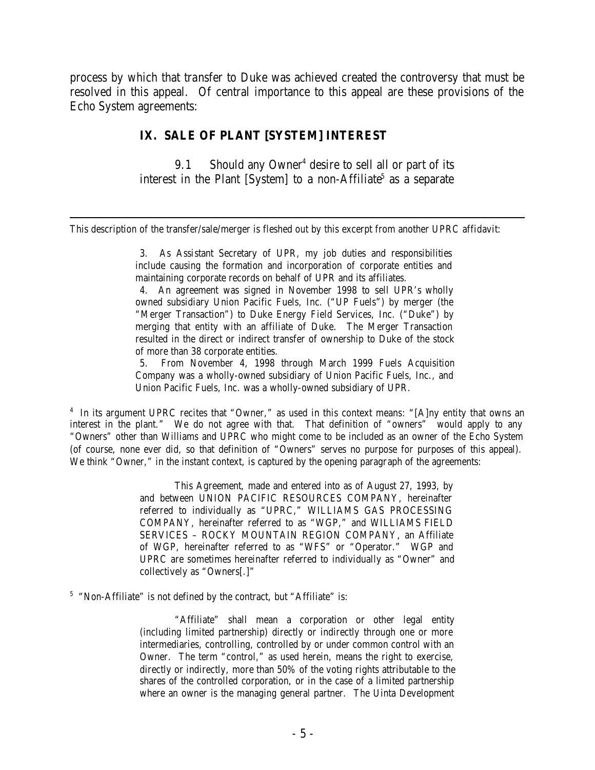process by which that transfer to Duke was achieved created the controversy that must be resolved in this appeal. Of central importance to this appeal are these provisions of the Echo System agreements:

### **IX. SALE OF PLANT [SYSTEM] INTEREST**

9.1 Should any Owner<sup>4</sup> desire to sell all or part of its interest in the Plant [System] to a non-Affiliate<sup>5</sup> as a separate

This description of the transfer/sale/merger is fleshed out by this excerpt from another UPRC affidavit:

3. As Assistant Secretary of UPR, my job duties and responsibilities include causing the formation and incorporation of corporate entities and maintaining corporate records on behalf of UPR and its affiliates.

4. An agreement was signed in November 1998 to sell UPR's wholly owned subsidiary Union Pacific Fuels, Inc. ("UP Fuels") by merger (the "Merger Transaction") to Duke Energy Field Services, Inc. ("Duke") by merging that entity with an affiliate of Duke. The Merger Transaction resulted in the direct or indirect transfer of ownership to Duke of the stock of more than 38 corporate entities.

5. From November 4, 1998 through March 1999 Fuels Acquisition Company was a wholly-owned subsidiary of Union Pacific Fuels, Inc., and Union Pacific Fuels, Inc. was a wholly-owned subsidiary of UPR.

<sup>4</sup> In its argument UPRC recites that "Owner," as used in this context means: "[A]ny entity that owns an interest in the plant." We do not agree with that. That definition of "owners" would apply to any "Owners" other than Williams and UPRC who might come to be included as an owner of the Echo System (of course, none ever did, so that definition of "Owners" serves no purpose for purposes of this appeal). We think "Owner," in the instant context, is captured by the opening paragraph of the agreements:

> This Agreement, made and entered into as of August 27, 1993, by and between UNION PACIFIC RESOURCES COMPANY, hereinafter referred to individually as "UPRC," WILLIAMS GAS PROCESSING COMPANY, hereinafter referred to as "WGP," and WILLIAMS FIELD SERVICES – ROCKY MOUNTAIN REGION COMPANY, an Affiliate of WGP, hereinafter referred to as "WFS" or "Operator." WGP and UPRC are sometimes hereinafter referred to individually as "Owner" and collectively as "Owners[.]"

<sup>5</sup> "Non-Affiliate" is not defined by the contract, but "Affiliate" is:

"Affiliate" shall mean a corporation or other legal entity (including limited partnership) directly or indirectly through one or more intermediaries, controlling, controlled by or under common control with an Owner. The term "control," as used herein, means the right to exercise, directly or indirectly, more than 50% of the voting rights attributable to the shares of the controlled corporation, or in the case of a limited partnership where an owner is the managing general partner. The Uinta Development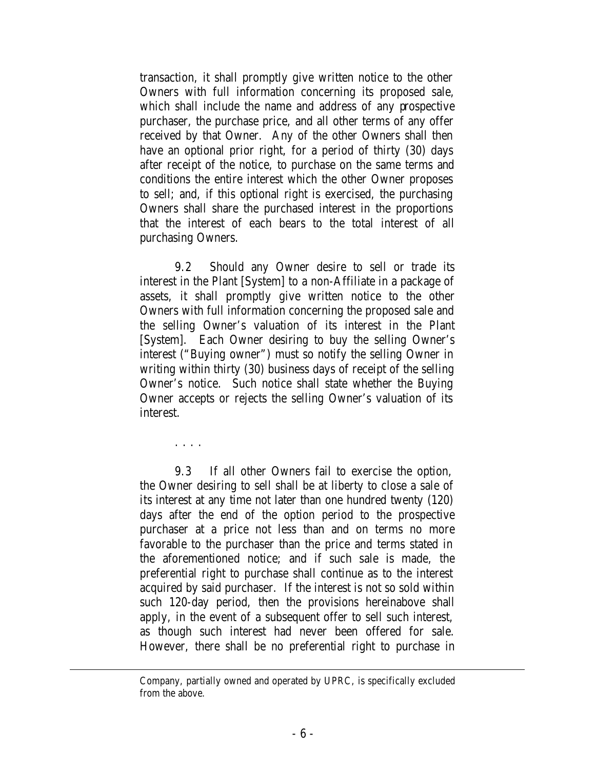transaction, it shall promptly give written notice to the other Owners with full information concerning its proposed sale, which shall include the name and address of any prospective purchaser, the purchase price, and all other terms of any offer received by that Owner. Any of the other Owners shall then have an optional prior right, for a period of thirty (30) days after receipt of the notice, to purchase on the same terms and conditions the entire interest which the other Owner proposes to sell; and, if this optional right is exercised, the purchasing Owners shall share the purchased interest in the proportions that the interest of each bears to the total interest of all purchasing Owners.

9.2 Should any Owner desire to sell or trade its interest in the Plant [System] to a non-Affiliate in a package of assets, it shall promptly give written notice to the other Owners with full information concerning the proposed sale and the selling Owner's valuation of its interest in the Plant [System]. Each Owner desiring to buy the selling Owner's interest ("Buying owner") must so notify the selling Owner in writing within thirty (30) business days of receipt of the selling Owner's notice. Such notice shall state whether the Buying Owner accepts or rejects the selling Owner's valuation of its interest.

. . . .

9.3 If all other Owners fail to exercise the option, the Owner desiring to sell shall be at liberty to close a sale of its interest at any time not later than one hundred twenty (120) days after the end of the option period to the prospective purchaser at a price not less than and on terms no more favorable to the purchaser than the price and terms stated in the aforementioned notice; and if such sale is made, the preferential right to purchase shall continue as to the interest acquired by said purchaser. If the interest is not so sold within such 120-day period, then the provisions hereinabove shall apply, in the event of a subsequent offer to sell such interest, as though such interest had never been offered for sale. However, there shall be no preferential right to purchase in

Company, partially owned and operated by UPRC, is specifically excluded from the above.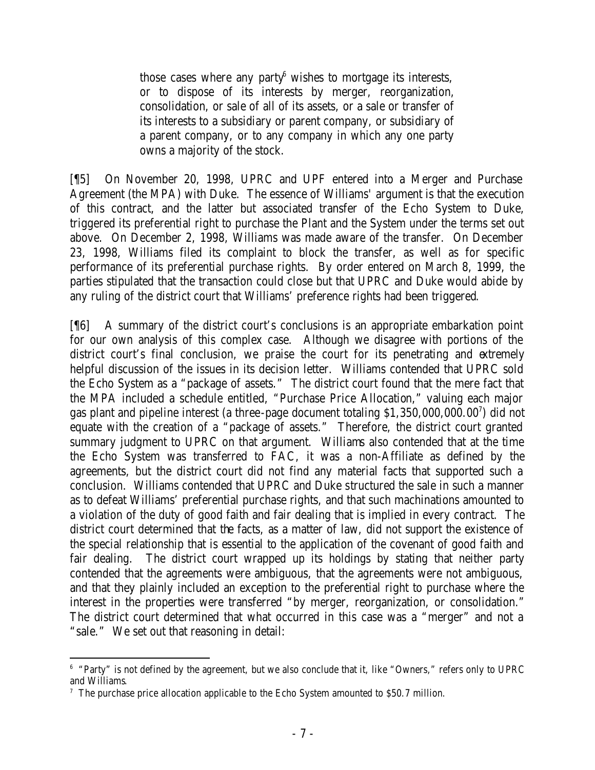those cases where any party  $\phi$  wishes to mortgage its interests, or to dispose of its interests by merger, reorganization, consolidation, or sale of all of its assets, or a sale or transfer of its interests to a subsidiary or parent company, or subsidiary of a parent company, or to any company in which any one party owns a majority of the stock.

[¶5] On November 20, 1998, UPRC and UPF entered into a Merger and Purchase Agreement (the MPA) with Duke. The essence of Williams' argument is that the execution of this contract, and the latter but associated transfer of the Echo System to Duke, triggered its preferential right to purchase the Plant and the System under the terms set out above. On December 2, 1998, Williams was made aware of the transfer. On December 23, 1998, Williams filed its complaint to block the transfer, as well as for specific performance of its preferential purchase rights. By order entered on March 8, 1999, the parties stipulated that the transaction could close but that UPRC and Duke would abide by any ruling of the district court that Williams' preference rights had been triggered.

[¶6] A summary of the district court's conclusions is an appropriate embarkation point for our own analysis of this complex case. Although we disagree with portions of the district court's final conclusion, we praise the court for its penetrating and extremely helpful discussion of the issues in its decision letter. Williams contended that UPRC sold the Echo System as a "package of assets." The district court found that the mere fact that the MPA included a schedule entitled, "Purchase Price Allocation," valuing each major gas plant and pipeline interest (a three-page document totaling \$1,350,000,000.00<sup>7</sup> ) did not equate with the creation of a "package of assets." Therefore, the district court granted summary judgment to UPRC on that argument. Williams also contended that at the time the Echo System was transferred to FAC, it was a non-Affiliate as defined by the agreements, but the district court did not find any material facts that supported such a conclusion. Williams contended that UPRC and Duke structured the sale in such a manner as to defeat Williams' preferential purchase rights, and that such machinations amounted to a violation of the duty of good faith and fair dealing that is implied in every contract. The district court determined that the facts, as a matter of law, did not support the existence of the special relationship that is essential to the application of the covenant of good faith and fair dealing. The district court wrapped up its holdings by stating that neither party contended that the agreements were ambiguous, that the agreements were not ambiguous, and that they plainly included an exception to the preferential right to purchase where the interest in the properties were transferred "by merger, reorganization, or consolidation." The district court determined that what occurred in this case was a "merger" and not a "sale." We set out that reasoning in detail:

 6 "Party" is not defined by the agreement, but we also conclude that it, like "Owners," refers only to UPRC and Williams.

<sup>&</sup>lt;sup>7</sup> The purchase price allocation applicable to the Echo System amounted to \$50.7 million.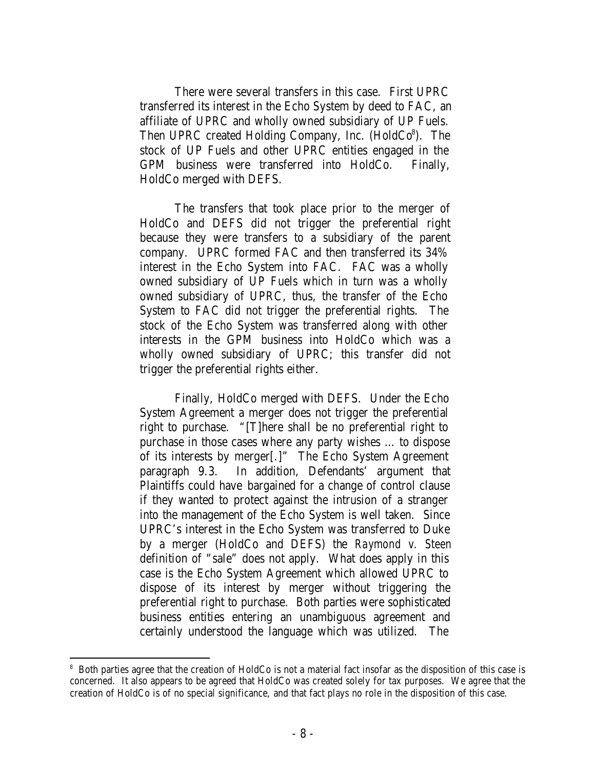There were several transfers in this case. First UPRC transferred its interest in the Echo System by deed to FAC, an affiliate of UPRC and wholly owned subsidiary of UP Fuels. Then UPRC created Holding Company, Inc.  $(HoldCo<sup>8</sup>)$ . The stock of UP Fuels and other UPRC entities engaged in the GPM business were transferred into HoldCo. Finally, HoldCo merged with DEFS.

The transfers that took place prior to the merger of HoldCo and DEFS did not trigger the preferential right because they were transfers to a subsidiary of the parent company. UPRC formed FAC and then transferred its 34% interest in the Echo System into FAC. FAC was a wholly owned subsidiary of UP Fuels which in turn was a wholly owned subsidiary of UPRC, thus, the transfer of the Echo System to FAC did not trigger the preferential rights. The stock of the Echo System was transferred along with other interests in the GPM business into HoldCo which was a wholly owned subsidiary of UPRC; this transfer did not trigger the preferential rights either.

Finally, HoldCo merged with DEFS. Under the Echo System Agreement a merger does not trigger the preferential right to purchase. "[T]here shall be no preferential right to purchase in those cases where any party wishes … to dispose of its interests by merger[.]" The Echo System Agreement paragraph 9.3. In addition, Defendants' argument that Plaintiffs could have bargained for a change of control clause if they wanted to protect against the intrusion of a stranger into the management of the Echo System is well taken. Since UPRC's interest in the Echo System was transferred to Duke by a merger (HoldCo and DEFS) the *Raymond v. Steen* definition of "sale" does not apply. What does apply in this case is the Echo System Agreement which allowed UPRC to dispose of its interest by merger without triggering the preferential right to purchase. Both parties were sophisticated business entities entering an unambiguous agreement and certainly understood the language which was utilized. The

<sup>8</sup> Both parties agree that the creation of HoldCo is not a material fact insofar as the disposition of this case is concerned. It also appears to be agreed that HoldCo was created solely for tax purposes. We agree that the creation of HoldCo is of no special significance, and that fact plays no role in the disposition of this case.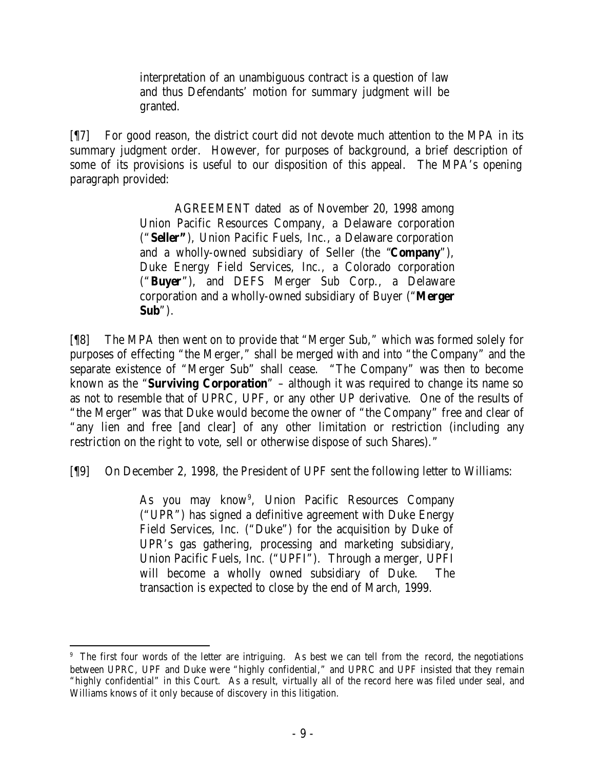interpretation of an unambiguous contract is a question of law and thus Defendants' motion for summary judgment will be granted.

[¶7] For good reason, the district court did not devote much attention to the MPA in its summary judgment order. However, for purposes of background, a brief description of some of its provisions is useful to our disposition of this appeal. The MPA's opening paragraph provided:

> AGREEMENT dated as of November 20, 1998 among Union Pacific Resources Company, a Delaware corporation ("**Seller"**), Union Pacific Fuels, Inc., a Delaware corporation and a wholly-owned subsidiary of Seller (the "**Company**"), Duke Energy Field Services, Inc., a Colorado corporation ("**Buyer**"), and DEFS Merger Sub Corp., a Delaware corporation and a wholly-owned subsidiary of Buyer ("**Merger Sub**").

[¶8] The MPA then went on to provide that "Merger Sub," which was formed solely for purposes of effecting "the Merger," shall be merged with and into "the Company" and the separate existence of "Merger Sub" shall cease. "The Company" was then to become known as the "**Surviving Corporation**" – although it was required to change its name so as not to resemble that of UPRC, UPF, or any other UP derivative. One of the results of "the Merger" was that Duke would become the owner of "the Company" free and clear of "any lien and free [and clear] of any other limitation or restriction (including any restriction on the right to vote, sell or otherwise dispose of such Shares)."

[¶9] On December 2, 1998, the President of UPF sent the following letter to Williams:

As you may know<sup>9</sup>, Union Pacific Resources Company ("UPR") has signed a definitive agreement with Duke Energy Field Services, Inc. ("Duke") for the acquisition by Duke of UPR's gas gathering, processing and marketing subsidiary, Union Pacific Fuels, Inc. ("UPFI"). Through a merger, UPFI will become a wholly owned subsidiary of Duke. The transaction is expected to close by the end of March, 1999.

<sup>9</sup> The first four words of the letter are intriguing. As best we can tell from the record, the negotiations between UPRC, UPF and Duke were "highly confidential," and UPRC and UPF insisted that they remain "highly confidential" in this Court. As a result, virtually all of the record here was filed under seal, and Williams knows of it only because of discovery in this litigation.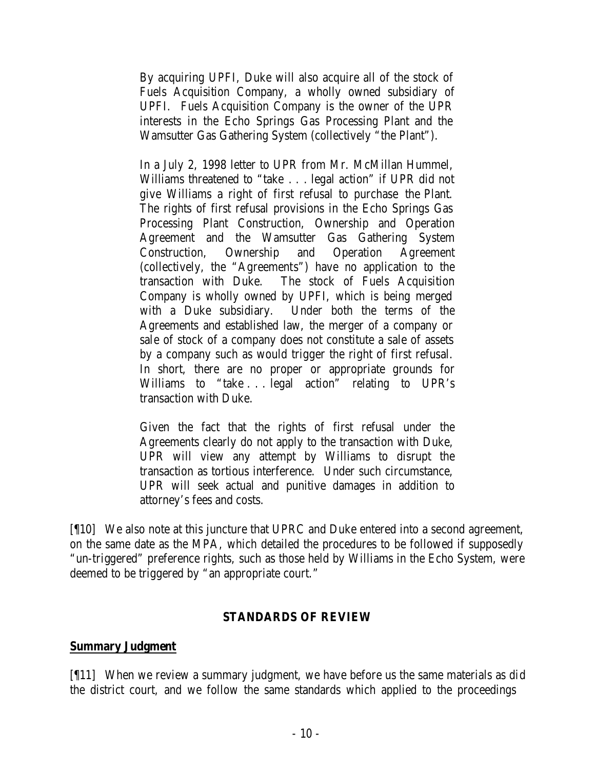By acquiring UPFI, Duke will also acquire all of the stock of Fuels Acquisition Company, a wholly owned subsidiary of UPFI. Fuels Acquisition Company is the owner of the UPR interests in the Echo Springs Gas Processing Plant and the Wamsutter Gas Gathering System (collectively "the Plant").

In a July 2, 1998 letter to UPR from Mr. McMillan Hummel, Williams threatened to "take . . . legal action" if UPR did not give Williams a right of first refusal to purchase the Plant. The rights of first refusal provisions in the Echo Springs Gas Processing Plant Construction, Ownership and Operation Agreement and the Wamsutter Gas Gathering System Construction, Ownership and Operation Agreement (collectively, the "Agreements") have no application to the transaction with Duke. The stock of Fuels Acquisition Company is wholly owned by UPFI, which is being merged with a Duke subsidiary. Under both the terms of the Agreements and established law, the merger of a company or sale of stock of a company does not constitute a sale of assets by a company such as would trigger the right of first refusal. In short, there are no proper or appropriate grounds for Williams to "take . . . legal action" relating to UPR's transaction with Duke.

Given the fact that the rights of first refusal under the Agreements clearly do not apply to the transaction with Duke, UPR will view any attempt by Williams to disrupt the transaction as tortious interference. Under such circumstance, UPR will seek actual and punitive damages in addition to attorney's fees and costs.

[¶10] We also note at this juncture that UPRC and Duke entered into a second agreement, on the same date as the MPA, which detailed the procedures to be followed if supposedly "un-triggered" preference rights, such as those held by Williams in the Echo System, were deemed to be triggered by "an appropriate court."

## **STANDARDS OF REVIEW**

## **Summary Judgment**

[¶11] When we review a summary judgment, we have before us the same materials as did the district court, and we follow the same standards which applied to the proceedings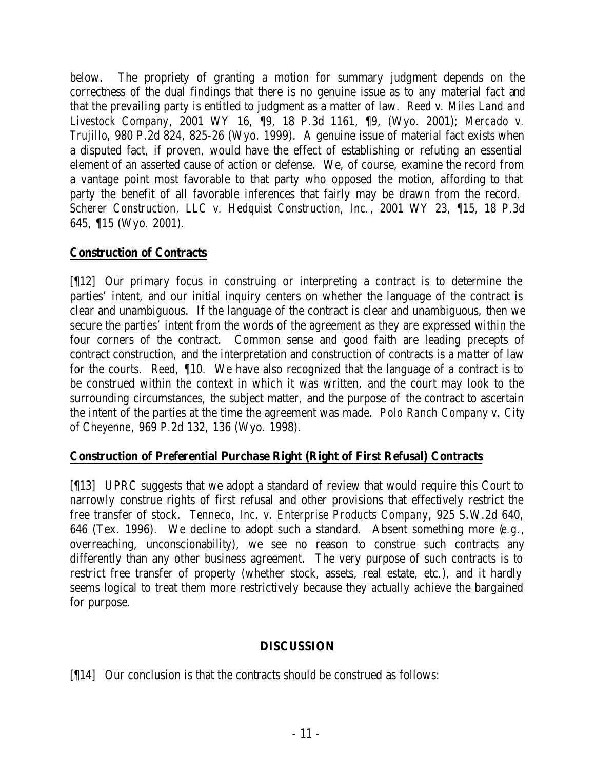below. The propriety of granting a motion for summary judgment depends on the correctness of the dual findings that there is no genuine issue as to any material fact and that the prevailing party is entitled to judgment as a matter of law. *Reed v. Miles Land and Livestock Company*, 2001 WY 16, ¶9, 18 P.3d 1161, ¶9, (Wyo. 2001); *Mercado v. Trujillo*, 980 P.2d 824, 825-26 (Wyo. 1999). A genuine issue of material fact exists when a disputed fact, if proven, would have the effect of establishing or refuting an essential element of an asserted cause of action or defense. We, of course, examine the record from a vantage point most favorable to that party who opposed the motion, affording to that party the benefit of all favorable inferences that fairly may be drawn from the record. *Scherer Construction, LLC v. Hedquist Construction, Inc.*, 2001 WY 23, ¶15, 18 P.3d 645, ¶15 (Wyo. 2001).

# **Construction of Contracts**

[¶12] Our primary focus in construing or interpreting a contract is to determine the parties' intent, and our initial inquiry centers on whether the language of the contract is clear and unambiguous. If the language of the contract is clear and unambiguous, then we secure the parties' intent from the words of the agreement as they are expressed within the four corners of the contract. Common sense and good faith are leading precepts of contract construction, and the interpretation and construction of contracts is a ma tter of law for the courts. *Reed,* ¶10. We have also recognized that the language of a contract is to be construed within the context in which it was written, and the court may look to the surrounding circumstances, the subject matter, and the purpose of the contract to ascertain the intent of the parties at the time the agreement was made. *Polo Ranch Company v. City of Cheyenne*, 969 P.2d 132, 136 (Wyo. 1998).

# **Construction of Preferential Purchase Right (Right of First Refusal) Contracts**

[¶13] UPRC suggests that we adopt a standard of review that would require this Court to narrowly construe rights of first refusal and other provisions that effectively restrict the free transfer of stock. *Tenneco, Inc. v. Enterprise Products Company*, 925 S.W.2d 640, 646 (Tex. 1996). We decline to adopt such a standard. Absent something more (*e.g.*, overreaching, unconscionability), we see no reason to construe such contracts any differently than any other business agreement. The very purpose of such contracts is to restrict free transfer of property (whether stock, assets, real estate, etc.), and it hardly seems logical to treat them more restrictively because they actually achieve the bargained for purpose.

# **DISCUSSION**

[¶14] Our conclusion is that the contracts should be construed as follows: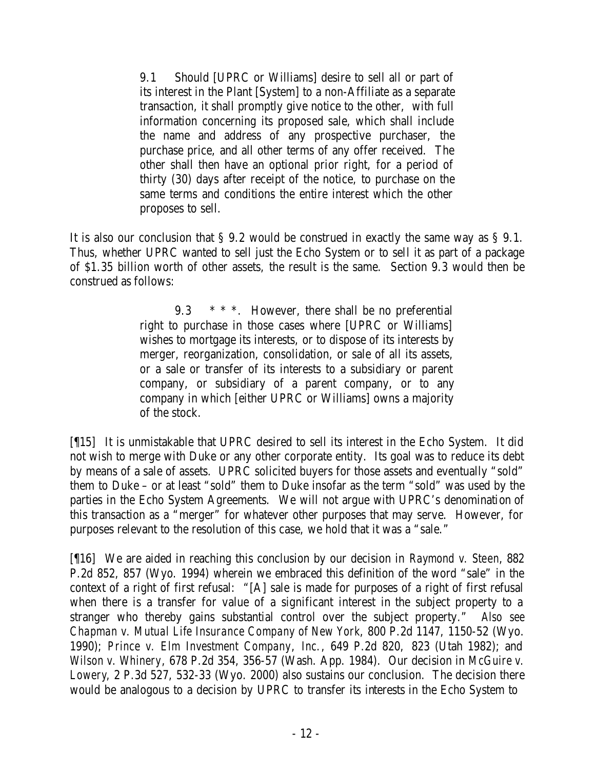9.1 Should [UPRC or Williams] desire to sell all or part of its interest in the Plant [System] to a non-Affiliate as a separate transaction, it shall promptly give notice to the other, with full information concerning its proposed sale, which shall include the name and address of any prospective purchaser, the purchase price, and all other terms of any offer received. The other shall then have an optional prior right, for a period of thirty (30) days after receipt of the notice, to purchase on the same terms and conditions the entire interest which the other proposes to sell.

It is also our conclusion that § 9.2 would be construed in exactly the same way as § 9.1. Thus, whether UPRC wanted to sell just the Echo System or to sell it as part of a package of \$1.35 billion worth of other assets, the result is the same. Section 9.3 would then be construed as follows:

> 9.3  $* * *$ . However, there shall be no preferential right to purchase in those cases where [UPRC or Williams] wishes to mortgage its interests, or to dispose of its interests by merger, reorganization, consolidation, or sale of all its assets, or a sale or transfer of its interests to a subsidiary or parent company, or subsidiary of a parent company, or to any company in which [either UPRC or Williams] owns a majority of the stock.

[¶15] It is unmistakable that UPRC desired to sell its interest in the Echo System. It did not wish to merge with Duke or any other corporate entity. Its goal was to reduce its debt by means of a sale of assets. UPRC solicited buyers for those assets and eventually "sold" them to Duke – or at least "sold" them to Duke insofar as the term "sold" was used by the parties in the Echo System Agreements. We will not argue with UPRC's denomination of this transaction as a "merger" for whatever other purposes that may serve. However, for purposes relevant to the resolution of this case, we hold that it was a "sale."

[¶16] We are aided in reaching this conclusion by our decision in *Raymond v. Steen*, 882 P.2d 852, 857 (Wyo. 1994) wherein we embraced this definition of the word "sale" in the context of a right of first refusal: "[A] sale is made for purposes of a right of first refusal when there is a transfer for value of a significant interest in the subject property to a stranger who thereby gains substantial control over the subject property." *Also see Chapman v. Mutual Life Insurance Company of New York*, 800 P.2d 1147, 1150-52 (Wyo. 1990); *Prince v. Elm Investment Company*, *Inc.*, 649 P.2d 820, 823 (Utah 1982); and *Wilson v. Whinery*, 678 P.2d 354, 356-57 (Wash. App. 1984). Our decision in *McGuire v. Lowery*, 2 P.3d 527, 532-33 (Wyo. 2000) also sustains our conclusion. The decision there would be analogous to a decision by UPRC to transfer its interests in the Echo System to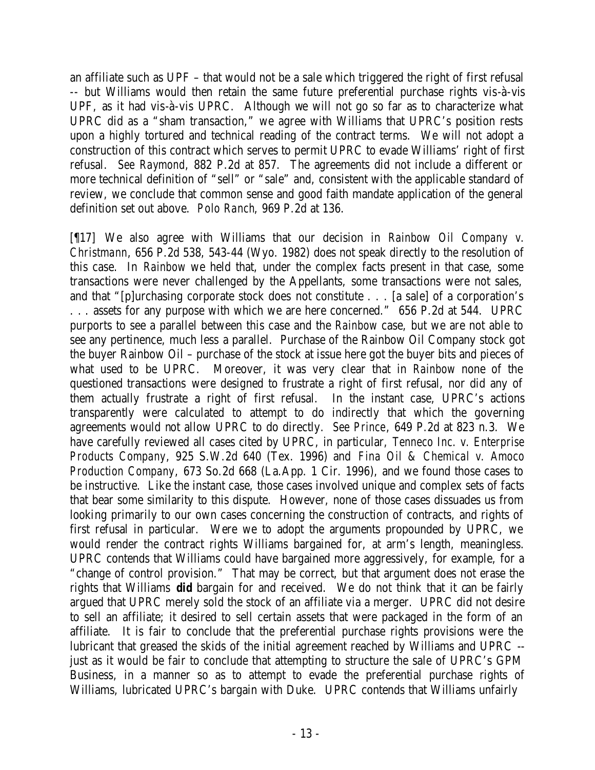an affiliate such as UPF – that would not be a sale which triggered the right of first refusal -- but Williams would then retain the same future preferential purchase rights vis-à-vis UPF, as it had vis-à-vis UPRC. Although we will not go so far as to characterize what UPRC did as a "sham transaction," we agree with Williams that UPRC's position rests upon a highly tortured and technical reading of the contract terms. We will not adopt a construction of this contract which serves to permit UPRC to evade Williams' right of first refusal. *See Raymond*, 882 P.2d at 857. The agreements did not include a different or more technical definition of "sell" or "sale" and, consistent with the applicable standard of review, we conclude that common sense and good faith mandate application of the general definition set out above. *Polo Ranch*, 969 P.2d at 136.

[¶17] We also agree with Williams that our decision in *Rainbow Oil Company v. Christmann*, 656 P.2d 538, 543-44 (Wyo. 1982) does not speak directly to the resolution of this case. In *Rainbow* we held that, under the complex facts present in that case, some transactions were never challenged by the Appellants, some transactions were not sales, and that "[p]urchasing corporate stock does not constitute . . . [a sale] of a corporation's . . . assets for any purpose with which we are here concerned." 656 P.2d at 544. UPRC purports to see a parallel between this case and the *Rainbow* case, but we are not able to see any pertinence, much less a parallel. Purchase of the Rainbow Oil Company stock got the buyer Rainbow Oil – purchase of the stock at issue here got the buyer bits and pieces of what used to be UPRC. Moreover, it was very clear that in *Rainbow* none of the questioned transactions were designed to frustrate a right of first refusal, nor did any of them actually frustrate a right of first refusal. In the instant case, UPRC's actions transparently were calculated to attempt to do indirectly that which the governing agreements would not allow UPRC to do directly. *See Prince*, 649 P.2d at 823 n.3. We have carefully reviewed all cases cited by UPRC, in particular, *Tenneco Inc. v. Enterprise Products Company*, 925 S.W.2d 640 (Tex. 1996) and *Fina Oil & Chemical v. Amoco Production Company*, 673 So.2d 668 (La.App. 1 Cir. 1996), and we found those cases to be instructive. Like the instant case, those cases involved unique and complex sets of facts that bear some similarity to this dispute. However, none of those cases dissuades us from looking primarily to our own cases concerning the construction of contracts, and rights of first refusal in particular. Were we to adopt the arguments propounded by UPRC, we would render the contract rights Williams bargained for, at arm's length, meaningless. UPRC contends that Williams could have bargained more aggressively, for example, for a "change of control provision." That may be correct, but that argument does not erase the rights that Williams *did* bargain for and received. We do not think that it can be fairly argued that UPRC merely sold the stock of an affiliate via a merger. UPRC did not desire to sell an affiliate; it desired to sell certain assets that were packaged in the form of an affiliate. It is fair to conclude that the preferential purchase rights provisions were the lubricant that greased the skids of the initial agreement reached by Williams and UPRC - just as it would be fair to conclude that attempting to structure the sale of UPRC's GPM Business, in a manner so as to attempt to evade the preferential purchase rights of Williams, lubricated UPRC's bargain with Duke. UPRC contends that Williams unfairly